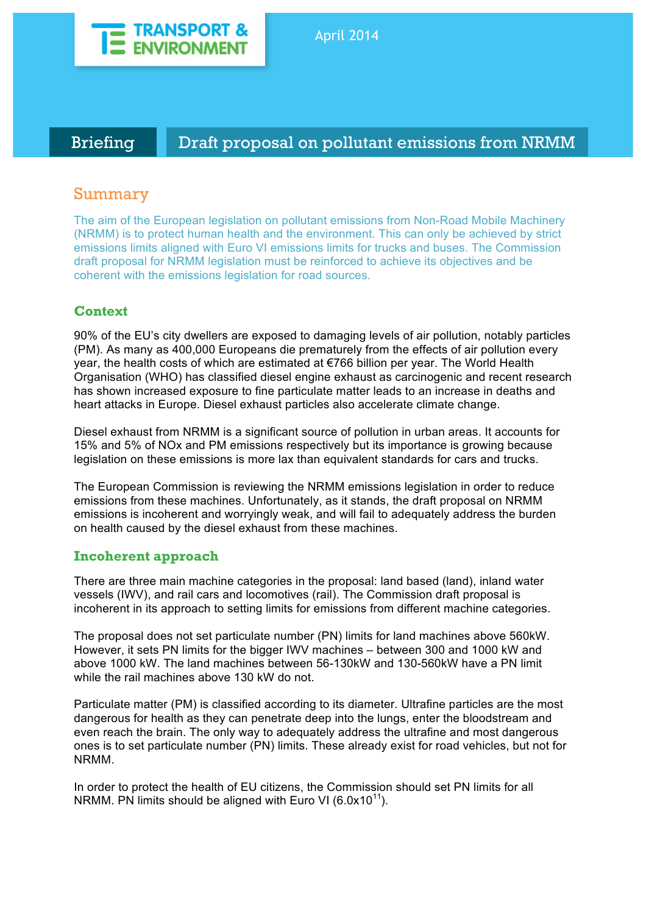

Briefing Draft proposal on pollutant emissions from NRMM

# Summary

The aim of the European legislation on pollutant emissions from Non-Road Mobile Machinery (NRMM) is to protect human health and the environment. This can only be achieved by strict emissions limits aligned with Euro VI emissions limits for trucks and buses. The Commission draft proposal for NRMM legislation must be reinforced to achieve its objectives and be coherent with the emissions legislation for road sources.

# **Context**

90% of the EU's city dwellers are exposed to damaging levels of air pollution, notably particles (PM). As many as 400,000 Europeans die prematurely from the effects of air pollution every year, the health costs of which are estimated at €766 billion per year. The World Health Organisation (WHO) has classified diesel engine exhaust as carcinogenic and recent research has shown increased exposure to fine particulate matter leads to an increase in deaths and heart attacks in Europe. Diesel exhaust particles also accelerate climate change.

Diesel exhaust from NRMM is a significant source of pollution in urban areas. It accounts for 15% and 5% of NOx and PM emissions respectively but its importance is growing because legislation on these emissions is more lax than equivalent standards for cars and trucks.

The European Commission is reviewing the NRMM emissions legislation in order to reduce emissions from these machines. Unfortunately, as it stands, the draft proposal on NRMM emissions is incoherent and worryingly weak, and will fail to adequately address the burden on health caused by the diesel exhaust from these machines.

## **Incoherent approach**

There are three main machine categories in the proposal: land based (land), inland water vessels (IWV), and rail cars and locomotives (rail). The Commission draft proposal is incoherent in its approach to setting limits for emissions from different machine categories.

The proposal does not set particulate number (PN) limits for land machines above 560kW. However, it sets PN limits for the bigger IWV machines – between 300 and 1000 kW and above 1000 kW. The land machines between 56-130kW and 130-560kW have a PN limit while the rail machines above 130 kW do not.

Particulate matter (PM) is classified according to its diameter. Ultrafine particles are the most dangerous for health as they can penetrate deep into the lungs, enter the bloodstream and even reach the brain. The only way to adequately address the ultrafine and most dangerous ones is to set particulate number (PN) limits. These already exist for road vehicles, but not for NRMM.

In order to protect the health of EU citizens, the Commission should set PN limits for all NRMM. PN limits should be aligned with Euro VI  $(6.0x10^{11})$ .